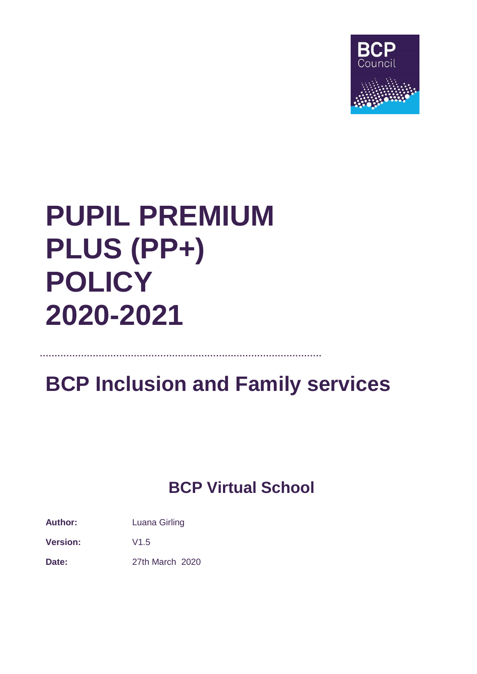

# **PUPIL PREMIUM PLUS (PP+) POLICY 2020-2021**

**……………………………………………………………………………………**

## **BCP Inclusion and Family services**

### **BCP Virtual School**

**Author:** Luana Girling

**Version:** V1.5

**Date:** 27th March 2020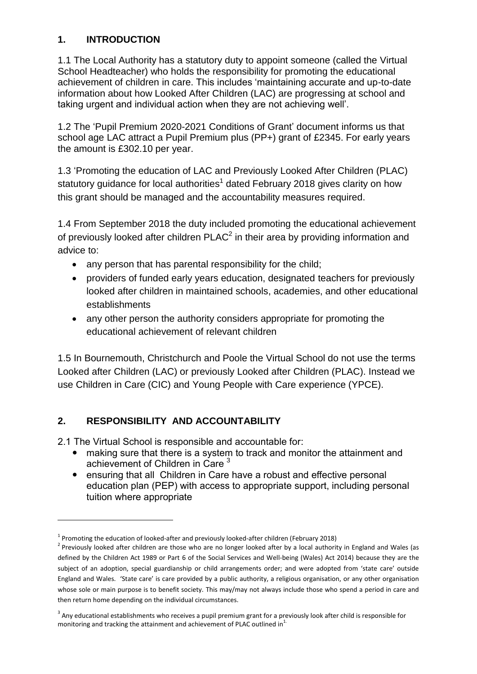#### **1. INTRODUCTION**

1.1 The Local Authority has a statutory duty to appoint someone (called the Virtual School Headteacher) who holds the responsibility for promoting the educational achievement of children in care. This includes 'maintaining accurate and up-to-date information about how Looked After Children (LAC) are progressing at school and taking urgent and individual action when they are not achieving well'.

1.2 The 'Pupil Premium 2020-2021 Conditions of Grant' document informs us that school age LAC attract a Pupil Premium plus (PP+) grant of £2345. For early years the amount is £302.10 per year.

1.3 'Promoting the education of LAC and Previously Looked After Children (PLAC) statutory guidance for local authorities<sup>1</sup> dated February 2018 gives clarity on how this grant should be managed and the accountability measures required.

1.4 From September 2018 the duty included promoting the educational achievement of previously looked after children PLAC<sup>2</sup> in their area by providing information and advice to:

- any person that has parental responsibility for the child;
- providers of funded early years education, designated teachers for previously looked after children in maintained schools, academies, and other educational establishments
- any other person the authority considers appropriate for promoting the educational achievement of relevant children

1.5 In Bournemouth, Christchurch and Poole the Virtual School do not use the terms Looked after Children (LAC) or previously Looked after Children (PLAC). Instead we use Children in Care (CIC) and Young People with Care experience (YPCE).

#### **2. RESPONSIBILITY AND ACCOUNTABILITY**

1

2.1 The Virtual School is responsible and accountable for:

- making sure that there is a system to track and monitor the attainment and achievement of Children in Care<sup>3</sup>
- ensuring that all Children in Care have a robust and effective personal education plan (PEP) with access to appropriate support, including personal tuition where appropriate

 $<sup>1</sup>$  Promoting the education of looked-after and previously looked-after children (February 2018)</sup>

 $2$  Previously looked after children are those who are no longer looked after by a local authority in England and Wales (as defined by the Children Act 1989 or Part 6 of the Social Services and Well-being (Wales) Act 2014) because they are the subject of an adoption, special guardianship or child arrangements order; and were adopted from 'state care' outside England and Wales. 'State care' is care provided by a public authority, a religious organisation, or any other organisation whose sole or main purpose is to benefit society. This may/may not always include those who spend a period in care and then return home depending on the individual circumstances.

 $3$  Any educational establishments who receives a pupil premium grant for a previously look after child is responsible for monitoring and tracking the attainment and achievement of PLAC outlined in $<sup>1</sup>$ .</sup>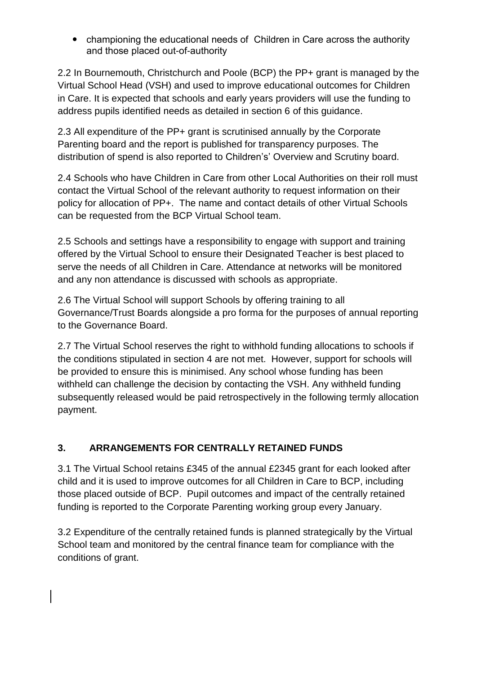championing the educational needs of Children in Care across the authority and those placed out-of-authority

2.2 In Bournemouth, Christchurch and Poole (BCP) the PP+ grant is managed by the Virtual School Head (VSH) and used to improve educational outcomes for Children in Care. It is expected that schools and early years providers will use the funding to address pupils identified needs as detailed in section 6 of this guidance.

2.3 All expenditure of the PP+ grant is scrutinised annually by the Corporate Parenting board and the report is published for transparency purposes. The distribution of spend is also reported to Children's' Overview and Scrutiny board.

2.4 Schools who have Children in Care from other Local Authorities on their roll must contact the Virtual School of the relevant authority to request information on their policy for allocation of PP+. The name and contact details of other Virtual Schools can be requested from the BCP Virtual School team.

2.5 Schools and settings have a responsibility to engage with support and training offered by the Virtual School to ensure their Designated Teacher is best placed to serve the needs of all Children in Care. Attendance at networks will be monitored and any non attendance is discussed with schools as appropriate.

2.6 The Virtual School will support Schools by offering training to all Governance/Trust Boards alongside a pro forma for the purposes of annual reporting to the Governance Board.

2.7 The Virtual School reserves the right to withhold funding allocations to schools if the conditions stipulated in section 4 are not met. However, support for schools will be provided to ensure this is minimised. Any school whose funding has been withheld can challenge the decision by contacting the VSH. Any withheld funding subsequently released would be paid retrospectively in the following termly allocation payment.

#### **3. ARRANGEMENTS FOR CENTRALLY RETAINED FUNDS**

3.1 The Virtual School retains £345 of the annual £2345 grant for each looked after child and it is used to improve outcomes for all Children in Care to BCP, including those placed outside of BCP. Pupil outcomes and impact of the centrally retained funding is reported to the Corporate Parenting working group every January.

3.2 Expenditure of the centrally retained funds is planned strategically by the Virtual School team and monitored by the central finance team for compliance with the conditions of grant.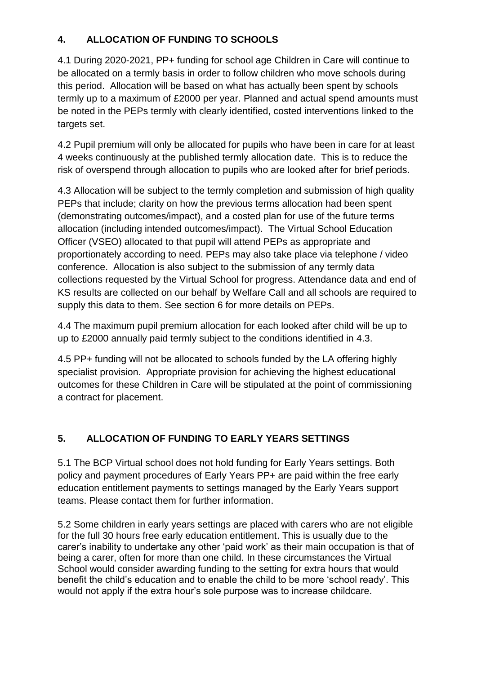#### **4. ALLOCATION OF FUNDING TO SCHOOLS**

4.1 During 2020-2021, PP+ funding for school age Children in Care will continue to be allocated on a termly basis in order to follow children who move schools during this period. Allocation will be based on what has actually been spent by schools termly up to a maximum of £2000 per year. Planned and actual spend amounts must be noted in the PEPs termly with clearly identified, costed interventions linked to the targets set.

4.2 Pupil premium will only be allocated for pupils who have been in care for at least 4 weeks continuously at the published termly allocation date. This is to reduce the risk of overspend through allocation to pupils who are looked after for brief periods.

4.3 Allocation will be subject to the termly completion and submission of high quality PEPs that include; clarity on how the previous terms allocation had been spent (demonstrating outcomes/impact), and a costed plan for use of the future terms allocation (including intended outcomes/impact). The Virtual School Education Officer (VSEO) allocated to that pupil will attend PEPs as appropriate and proportionately according to need. PEPs may also take place via telephone / video conference. Allocation is also subject to the submission of any termly data collections requested by the Virtual School for progress. Attendance data and end of KS results are collected on our behalf by Welfare Call and all schools are required to supply this data to them. See section 6 for more details on PEPs.

4.4 The maximum pupil premium allocation for each looked after child will be up to up to £2000 annually paid termly subject to the conditions identified in 4.3.

4.5 PP+ funding will not be allocated to schools funded by the LA offering highly specialist provision. Appropriate provision for achieving the highest educational outcomes for these Children in Care will be stipulated at the point of commissioning a contract for placement.

#### **5. ALLOCATION OF FUNDING TO EARLY YEARS SETTINGS**

5.1 The BCP Virtual school does not hold funding for Early Years settings. Both policy and payment procedures of Early Years PP+ are paid within the free early education entitlement payments to settings managed by the Early Years support teams. Please contact them for further information.

5.2 Some children in early years settings are placed with carers who are not eligible for the full 30 hours free early education entitlement. This is usually due to the carer's inability to undertake any other 'paid work' as their main occupation is that of being a carer, often for more than one child. In these circumstances the Virtual School would consider awarding funding to the setting for extra hours that would benefit the child's education and to enable the child to be more 'school ready'. This would not apply if the extra hour's sole purpose was to increase childcare.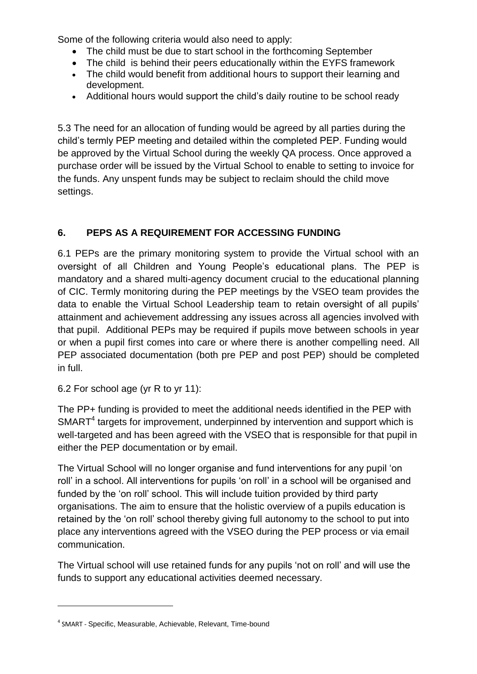Some of the following criteria would also need to apply:

- The child must be due to start school in the forthcoming September
- The child is behind their peers educationally within the EYFS framework
- The child would benefit from additional hours to support their learning and development.
- Additional hours would support the child's daily routine to be school ready

5.3 The need for an allocation of funding would be agreed by all parties during the child's termly PEP meeting and detailed within the completed PEP. Funding would be approved by the Virtual School during the weekly QA process. Once approved a purchase order will be issued by the Virtual School to enable to setting to invoice for the funds. Any unspent funds may be subject to reclaim should the child move settings.

#### **6. PEPS AS A REQUIREMENT FOR ACCESSING FUNDING**

6.1 PEPs are the primary monitoring system to provide the Virtual school with an oversight of all Children and Young People's educational plans. The PEP is mandatory and a shared multi-agency document crucial to the educational planning of CIC. Termly monitoring during the PEP meetings by the VSEO team provides the data to enable the Virtual School Leadership team to retain oversight of all pupils' attainment and achievement addressing any issues across all agencies involved with that pupil. Additional PEPs may be required if pupils move between schools in year or when a pupil first comes into care or where there is another compelling need. All PEP associated documentation (both pre PEP and post PEP) should be completed in full.

6.2 For school age (yr R to yr 11):

The PP+ funding is provided to meet the additional needs identified in the PEP with  $SMARKT<sup>4</sup>$  targets for improvement, underpinned by intervention and support which is well-targeted and has been agreed with the VSEO that is responsible for that pupil in either the PEP documentation or by email.

The Virtual School will no longer organise and fund interventions for any pupil 'on roll' in a school. All interventions for pupils 'on roll' in a school will be organised and funded by the 'on roll' school. This will include tuition provided by third party organisations. The aim to ensure that the holistic overview of a pupils education is retained by the 'on roll' school thereby giving full autonomy to the school to put into place any interventions agreed with the VSEO during the PEP process or via email communication.

The Virtual school will use retained funds for any pupils 'not on roll' and will use the funds to support any educational activities deemed necessary.

**.** 

<sup>4</sup> SMART - Specific, Measurable, Achievable, Relevant, Time-bound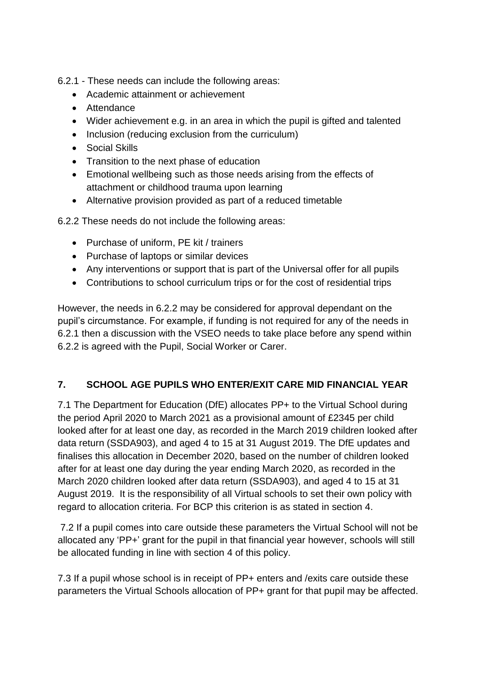- 6.2.1 These needs can include the following areas:
	- Academic attainment or achievement
	- Attendance
	- Wider achievement e.g. in an area in which the pupil is gifted and talented
	- Inclusion (reducing exclusion from the curriculum)
	- Social Skills
	- Transition to the next phase of education
	- Emotional wellbeing such as those needs arising from the effects of attachment or childhood trauma upon learning
	- Alternative provision provided as part of a reduced timetable

6.2.2 These needs do not include the following areas:

- Purchase of uniform, PE kit / trainers
- Purchase of laptops or similar devices
- Any interventions or support that is part of the Universal offer for all pupils
- Contributions to school curriculum trips or for the cost of residential trips

However, the needs in 6.2.2 may be considered for approval dependant on the pupil's circumstance. For example, if funding is not required for any of the needs in 6.2.1 then a discussion with the VSEO needs to take place before any spend within 6.2.2 is agreed with the Pupil, Social Worker or Carer.

#### **7. SCHOOL AGE PUPILS WHO ENTER/EXIT CARE MID FINANCIAL YEAR**

7.1 The Department for Education (DfE) allocates PP+ to the Virtual School during the period April 2020 to March 2021 as a provisional amount of £2345 per child looked after for at least one day, as recorded in the March 2019 children looked after data return (SSDA903), and aged 4 to 15 at 31 August 2019. The DfE updates and finalises this allocation in December 2020, based on the number of children looked after for at least one day during the year ending March 2020, as recorded in the March 2020 children looked after data return (SSDA903), and aged 4 to 15 at 31 August 2019. It is the responsibility of all Virtual schools to set their own policy with regard to allocation criteria. For BCP this criterion is as stated in section 4.

7.2 If a pupil comes into care outside these parameters the Virtual School will not be allocated any 'PP+' grant for the pupil in that financial year however, schools will still be allocated funding in line with section 4 of this policy.

7.3 If a pupil whose school is in receipt of PP+ enters and /exits care outside these parameters the Virtual Schools allocation of PP+ grant for that pupil may be affected.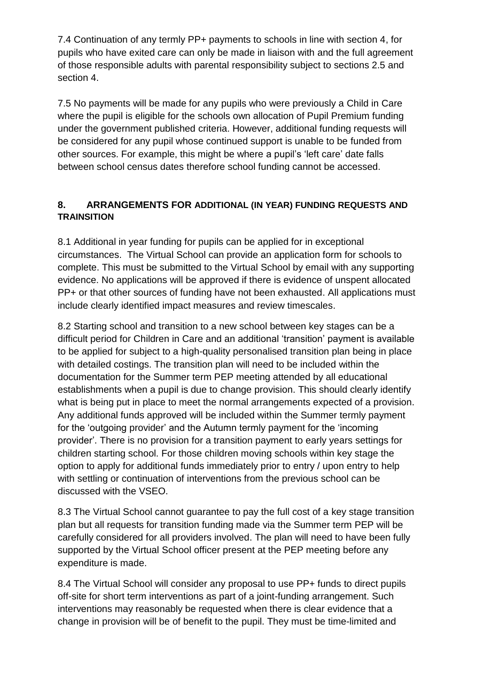7.4 Continuation of any termly PP+ payments to schools in line with section 4, for pupils who have exited care can only be made in liaison with and the full agreement of those responsible adults with parental responsibility subject to sections 2.5 and section 4.

7.5 No payments will be made for any pupils who were previously a Child in Care where the pupil is eligible for the schools own allocation of Pupil Premium funding under the government published criteria. However, additional funding requests will be considered for any pupil whose continued support is unable to be funded from other sources. For example, this might be where a pupil's 'left care' date falls between school census dates therefore school funding cannot be accessed.

#### **8. ARRANGEMENTS FOR ADDITIONAL (IN YEAR) FUNDING REQUESTS AND TRAINSITION**

8.1 Additional in year funding for pupils can be applied for in exceptional circumstances. The Virtual School can provide an application form for schools to complete. This must be submitted to the Virtual School by email with any supporting evidence. No applications will be approved if there is evidence of unspent allocated PP+ or that other sources of funding have not been exhausted. All applications must include clearly identified impact measures and review timescales.

8.2 Starting school and transition to a new school between key stages can be a difficult period for Children in Care and an additional 'transition' payment is available to be applied for subject to a high-quality personalised transition plan being in place with detailed costings. The transition plan will need to be included within the documentation for the Summer term PEP meeting attended by all educational establishments when a pupil is due to change provision. This should clearly identify what is being put in place to meet the normal arrangements expected of a provision. Any additional funds approved will be included within the Summer termly payment for the 'outgoing provider' and the Autumn termly payment for the 'incoming provider'. There is no provision for a transition payment to early years settings for children starting school. For those children moving schools within key stage the option to apply for additional funds immediately prior to entry / upon entry to help with settling or continuation of interventions from the previous school can be discussed with the VSEO.

8.3 The Virtual School cannot guarantee to pay the full cost of a key stage transition plan but all requests for transition funding made via the Summer term PEP will be carefully considered for all providers involved. The plan will need to have been fully supported by the Virtual School officer present at the PEP meeting before any expenditure is made.

8.4 The Virtual School will consider any proposal to use PP+ funds to direct pupils off-site for short term interventions as part of a joint-funding arrangement. Such interventions may reasonably be requested when there is clear evidence that a change in provision will be of benefit to the pupil. They must be time-limited and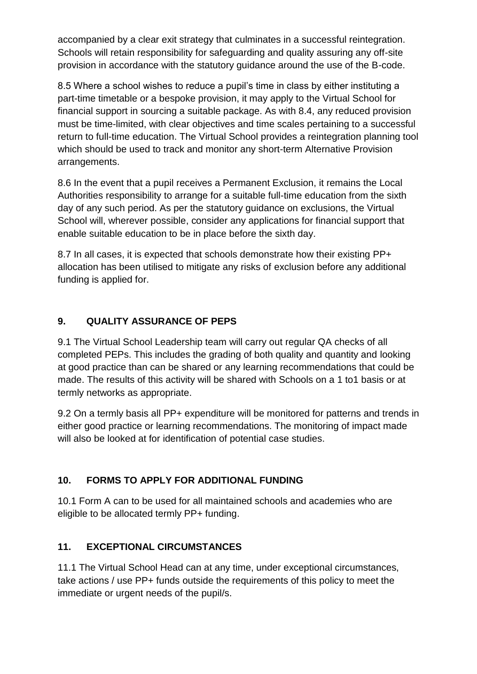accompanied by a clear exit strategy that culminates in a successful reintegration. Schools will retain responsibility for safeguarding and quality assuring any off-site provision in accordance with the statutory guidance around the use of the B-code.

8.5 Where a school wishes to reduce a pupil's time in class by either instituting a part-time timetable or a bespoke provision, it may apply to the Virtual School for financial support in sourcing a suitable package. As with 8.4, any reduced provision must be time-limited, with clear objectives and time scales pertaining to a successful return to full-time education. The Virtual School provides a reintegration planning tool which should be used to track and monitor any short-term Alternative Provision arrangements.

8.6 In the event that a pupil receives a Permanent Exclusion, it remains the Local Authorities responsibility to arrange for a suitable full-time education from the sixth day of any such period. As per the statutory guidance on exclusions, the Virtual School will, wherever possible, consider any applications for financial support that enable suitable education to be in place before the sixth day.

8.7 In all cases, it is expected that schools demonstrate how their existing PP+ allocation has been utilised to mitigate any risks of exclusion before any additional funding is applied for.

#### **9. QUALITY ASSURANCE OF PEPS**

9.1 The Virtual School Leadership team will carry out regular QA checks of all completed PEPs. This includes the grading of both quality and quantity and looking at good practice than can be shared or any learning recommendations that could be made. The results of this activity will be shared with Schools on a 1 to1 basis or at termly networks as appropriate.

9.2 On a termly basis all PP+ expenditure will be monitored for patterns and trends in either good practice or learning recommendations. The monitoring of impact made will also be looked at for identification of potential case studies.

#### **10. FORMS TO APPLY FOR ADDITIONAL FUNDING**

10.1 Form A can to be used for all maintained schools and academies who are eligible to be allocated termly PP+ funding.

#### **11. EXCEPTIONAL CIRCUMSTANCES**

11.1 The Virtual School Head can at any time, under exceptional circumstances, take actions / use PP+ funds outside the requirements of this policy to meet the immediate or urgent needs of the pupil/s.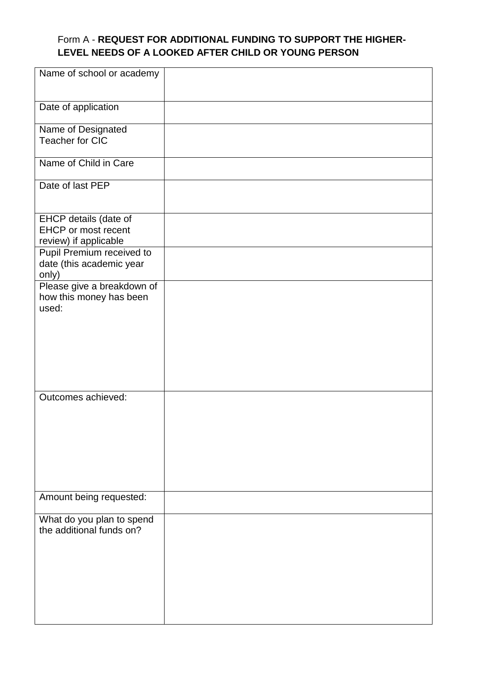#### Form A - **REQUEST FOR ADDITIONAL FUNDING TO SUPPORT THE HIGHER-LEVEL NEEDS OF A LOOKED AFTER CHILD OR YOUNG PERSON**

| Name of school or academy                                                    |  |
|------------------------------------------------------------------------------|--|
| Date of application                                                          |  |
| Name of Designated<br>Teacher for CIC                                        |  |
| Name of Child in Care                                                        |  |
| Date of last PEP                                                             |  |
| EHCP details (date of<br><b>EHCP</b> or most recent<br>review) if applicable |  |
| Pupil Premium received to<br>date (this academic year<br>only)               |  |
| Please give a breakdown of<br>how this money has been<br>used:               |  |
| Outcomes achieved:                                                           |  |
| Amount being requested:                                                      |  |
| What do you plan to spend<br>the additional funds on?                        |  |